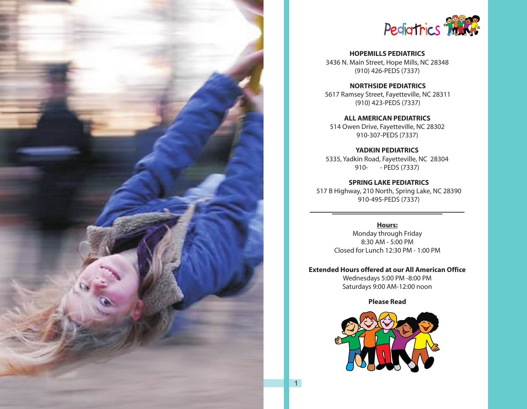



**HOPEMILLS PEDIATRICS**  3436 N. Main Street, Hope Mills, NC 28348 (910) 426-PEDS (7337)

**NORTHSIDE PEDIATRICS**  5617 Ramsey Street, Fayetteville, NC 28311 (910) 423-PEDS (7337)

**ALL AMERICAN PEDIATRICS**  514 Owen Drive, Fayetteville, NC 28302 910-307-PEDS (7337)

**YADKIN PEDIATRICS** 5335, Yadkin Road, Fayetteville, NC 28304 910- - PEDS (7337)

**SPRING LAKE PEDIATRICS** 517 B Highway, 210 North, Spring Lake, NC 28390 910-495-PEDS (7337)

> **Hours:** Monday through Friday 8:30 AM - 5:00 PM Closed for Lunch 12:30 PM - 1:00 PM

**Extended Hours offered at our All American Office** Wednesdays 5:00 PM -8:00 PM Saturdays 9:00 AM-12:00 noon

**Please Read**

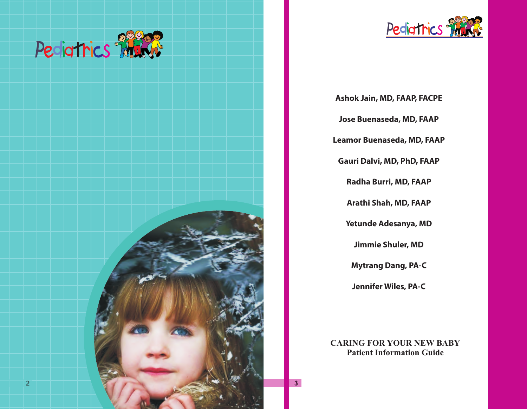



**Ashok Jain, MD, FAAP, FACPE Jose Buenaseda, MD, FAAP Leamor Buenaseda, MD, FAAP Gauri Dalvi, MD, PhD, FAAP Radha Burri, MD, FAAP Arathi Shah, MD, FAAP Yetunde Adesanya, MD Jimmie Shuler, MD Mytrang Dang, PA-C Jennifer Wiles, PA-C**

**CARING FOR YOUR NEW BABY Patient Information Guide**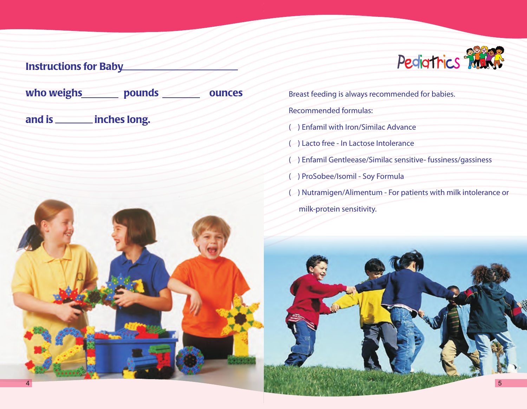

# Instructions for Baby who weighs **pounds ounces** and is \_\_\_\_\_\_\_ inches long.

Breast feeding is always recommended for babies. Recommended formulas:

- ( ) Enfamil with Iron/Similac Advance
- ( ) Lacto free In Lactose Intolerance
- ( ) Enfamil Gentleease/Similac sensitive- fussiness/gassiness
- ( ) ProSobee/Isomil Soy Formula
- ( ) Nutramigen/Alimentum For patients with milk intolerance or milk-protein sensitivity.

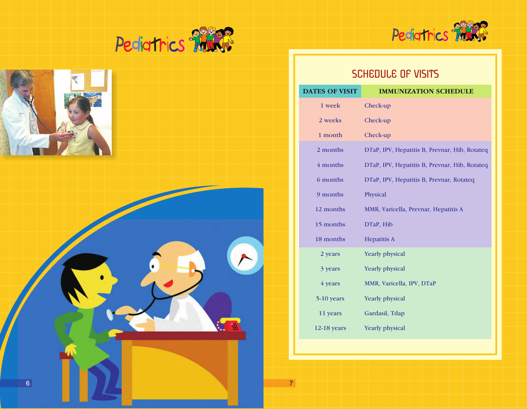







# SCHEDULE OF VISITS

| <b>DATES OF VISIT</b> | <b>IMMUNIZATION SCHEDULE</b>                  |
|-----------------------|-----------------------------------------------|
| 1 week                | Check-up                                      |
| 2 weeks               | Check-up                                      |
| 1 month               | Check-up                                      |
| 2 months              | DTaP, IPV, Hepatitis B, Prevnar, Hib, Rotateq |
| 4 months              | DTaP, IPV, Hepatitis B, Prevnar, Hib, Rotateq |
| 6 months              | DTaP, IPV, Hepatitis B, Prevnar, Rotateq      |
| 9 months              | Physical                                      |
| 12 months             | MMR, Varicella, Prevnar, Hepatitis A          |
| 15 months             | DTaP, Hib                                     |
| 18 months             | <b>Hepatitis A</b>                            |
| 2 years               | Yearly physical                               |
| 3 years               | <b>Yearly physical</b>                        |
| 4 years               | MMR, Varicella, IPV, DTaP                     |
| 5-10 years            | Yearly physical                               |
| 11 years              | Gardasil, Tdap                                |
| $12-18$ years         | <b>Yearly physical</b>                        |

 $\overline{7}$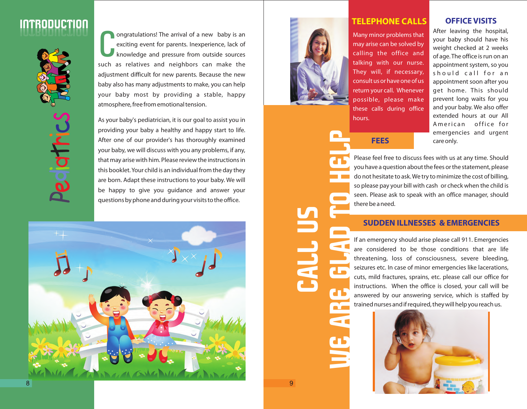



C ongratulations! The arrival of a new baby is an exciting event for parents. Inexperience, lack of knowledge and pressure from outside sources such as relatives and neighbors can make the adjustment difficult for new parents. Because the new baby also has many adjustments to make, you can help your baby most by providing a stable, happy atmosphere, free from emotional tension.

As your baby's pediatrician, it is our goal to assist you in providing your baby a healthy and happy start to life. After one of our provider's has thoroughly examined your baby, we will discuss with you any problems, if any, that may arise with him. Please review the instructions in this booklet. Your child is an individual from the day they are born. Adapt these instructions to your baby. We will be happy to give you guidance and answer your questions by phone and during your visits to the office.





# **TELEPHONE CALLS**

Many minor problems that may arise can be solved by calling the office and talking with our nurse. They will, if necessary, consult us or have one of us return your call. Whenever possible, please make these calls during office hours.

### **OFFICE VISITS**

After leaving the hospital, your baby should have his weight checked at 2 weeks of age. The office is run on an appointment system, so you should call for an appointment soon after you get home. This should prevent long waits for you and your baby. We also offer extended hours at our All American office for emergencies and urgent **FEES** care only.

Please feel free to discuss fees with us at any time. Should you have a question about the fees or the statement, please do not hesitate to ask. We try to minimize the cost of billing, so please pay your bill with cash or check when the child is seen. Please ask to speak with an office manager, should there be a need.

# **SUDDEN ILLNESSES & EMERGENCIES**

If an emergency should arise please call 911. Emergencies are considered to be those conditions that are life threatening, loss of consciousness, severe bleeding, seizures etc. In case of minor emergencies like lacerations, cuts, mild fractures, sprains, etc. please call our office for instructions. When the office is closed, your call will be answered by our answering service, which is staffed by trained nurses and if required, they will help you reach us.



**CALL U** 

**WE ARE GLAD TO HELP**